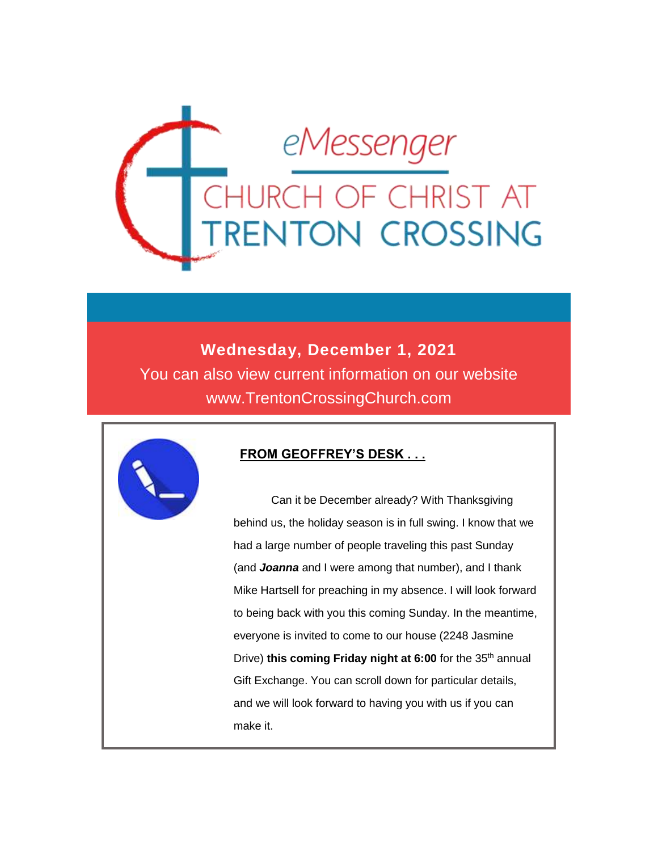

#### **Wednesday, December 1, 2021**

You can also view current information on our website www.TrentonCrossingChurch.com



#### **FROM GEOFFREY'S DESK . . .**

 Can it be December already? With Thanksgiving behind us, the holiday season is in full swing. I know that we had a large number of people traveling this past Sunday (and *Joanna* and I were among that number), and I thank Mike Hartsell for preaching in my absence. I will look forward to being back with you this coming Sunday. In the meantime, everyone is invited to come to our house (2248 Jasmine Drive) **this coming Friday night at 6:00** for the 35<sup>th</sup> annual Gift Exchange. You can scroll down for particular details, and we will look forward to having you with us if you can make it.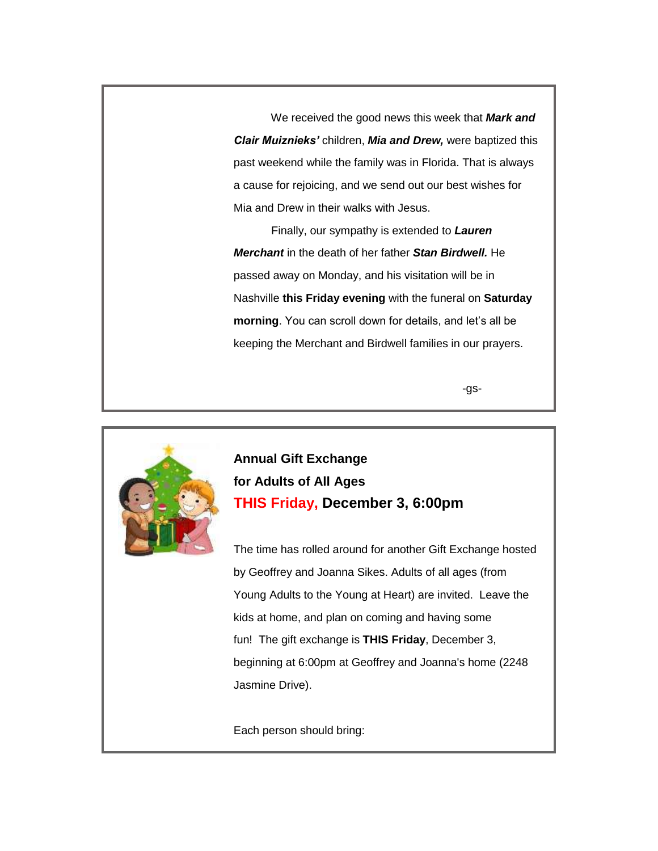We received the good news this week that *Mark and Clair Muiznieks'* children, *Mia and Drew,* were baptized this past weekend while the family was in Florida. That is always a cause for rejoicing, and we send out our best wishes for Mia and Drew in their walks with Jesus.

 Finally, our sympathy is extended to *Lauren Merchant* in the death of her father *Stan Birdwell.* He passed away on Monday, and his visitation will be in Nashville **this Friday evening** with the funeral on **Saturday morning**. You can scroll down for details, and let's all be keeping the Merchant and Birdwell families in our prayers.

-gs-



**Annual Gift Exchange for Adults of All Ages THIS Friday, December 3, 6:00pm**

The time has rolled around for another Gift Exchange hosted by Geoffrey and Joanna Sikes. Adults of all ages (from Young Adults to the Young at Heart) are invited. Leave the kids at home, and plan on coming and having some fun! The gift exchange is **THIS Friday**, December 3, beginning at 6:00pm at Geoffrey and Joanna's home (2248 Jasmine Drive).

Each person should bring: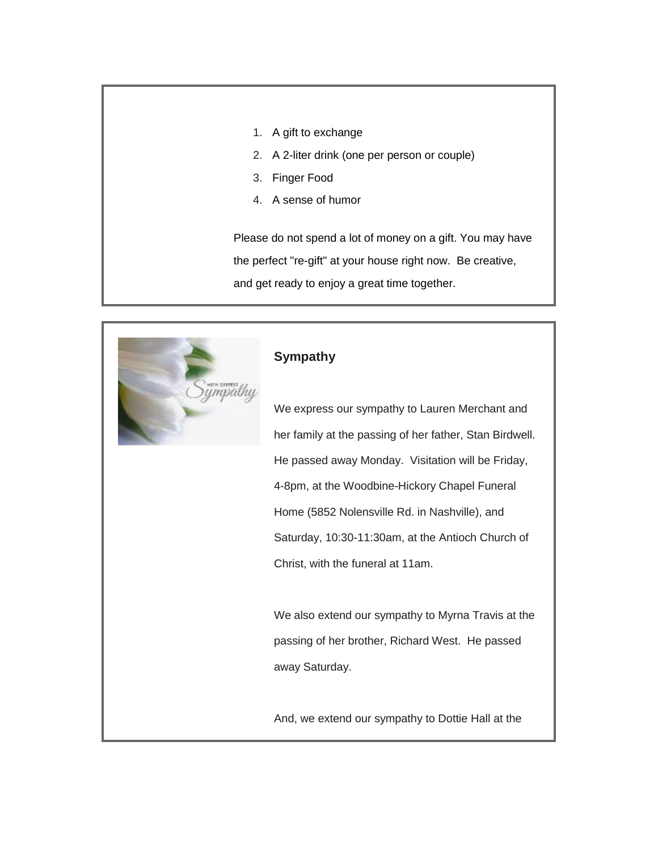- 1. A gift to exchange
- 2. A 2-liter drink (one per person or couple)
- 3. Finger Food
- 4. A sense of humor

Please do not spend a lot of money on a gift. You may have the perfect "re-gift" at your house right now. Be creative, and get ready to enjoy a great time together.



#### **Sympathy**

We express our sympathy to Lauren Merchant and her family at the passing of her father, Stan Birdwell. He passed away Monday. Visitation will be Friday, 4-8pm, at the Woodbine-Hickory Chapel Funeral Home (5852 Nolensville Rd. in Nashville), and Saturday, 10:30-11:30am, at the Antioch Church of Christ, with the funeral at 11am.

We also extend our sympathy to Myrna Travis at the passing of her brother, Richard West. He passed away Saturday.

And, we extend our sympathy to Dottie Hall at the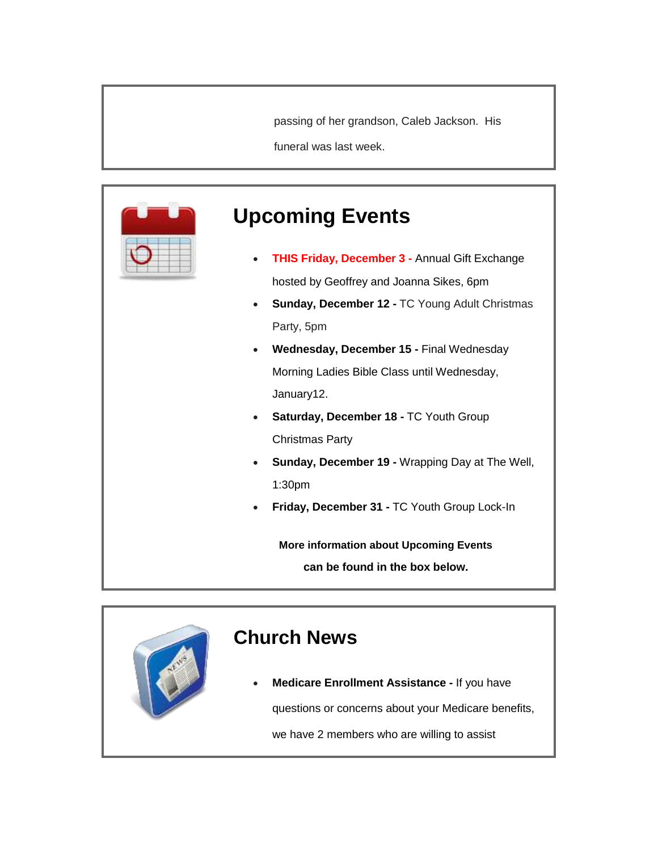passing of her grandson, Caleb Jackson. His

funeral was last week.



# **Upcoming Events**

- **THIS Friday, December 3 -** Annual Gift Exchange hosted by Geoffrey and Joanna Sikes, 6pm
- **Sunday, December 12 -** TC Young Adult Christmas Party, 5pm
- **Wednesday, December 15 -** Final Wednesday Morning Ladies Bible Class until Wednesday, January12.
- **Saturday, December 18 -** TC Youth Group Christmas Party
- **Sunday, December 19 -** Wrapping Day at The Well, 1:30pm
- **Friday, December 31 -** TC Youth Group Lock-In

**More information about Upcoming Events can be found in the box below.**

# **Church News Medicare Enrollment Assistance -** If you have questions or concerns about your Medicare benefits, we have 2 members who are willing to assist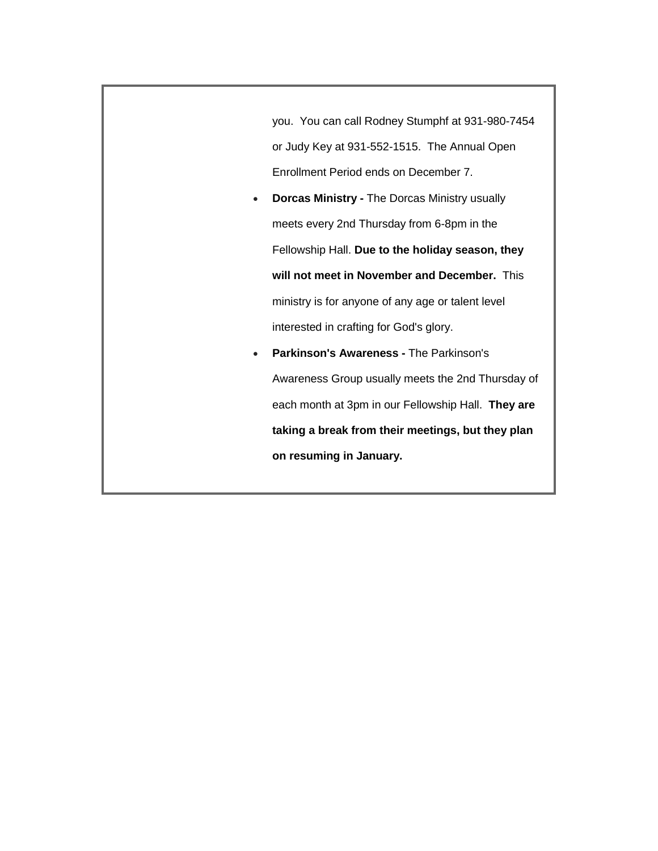you. You can call Rodney Stumphf at 931-980-7454 or Judy Key at 931-552-1515. The Annual Open Enrollment Period ends on December 7.

- **Dorcas Ministry -** The Dorcas Ministry usually meets every 2nd Thursday from 6-8pm in the Fellowship Hall. **Due to the holiday season, they will not meet in November and December.** This ministry is for anyone of any age or talent level interested in crafting for God's glory.
- **Parkinson's Awareness -** The Parkinson's Awareness Group usually meets the 2nd Thursday of each month at 3pm in our Fellowship Hall. **They are taking a break from their meetings, but they plan on resuming in January.**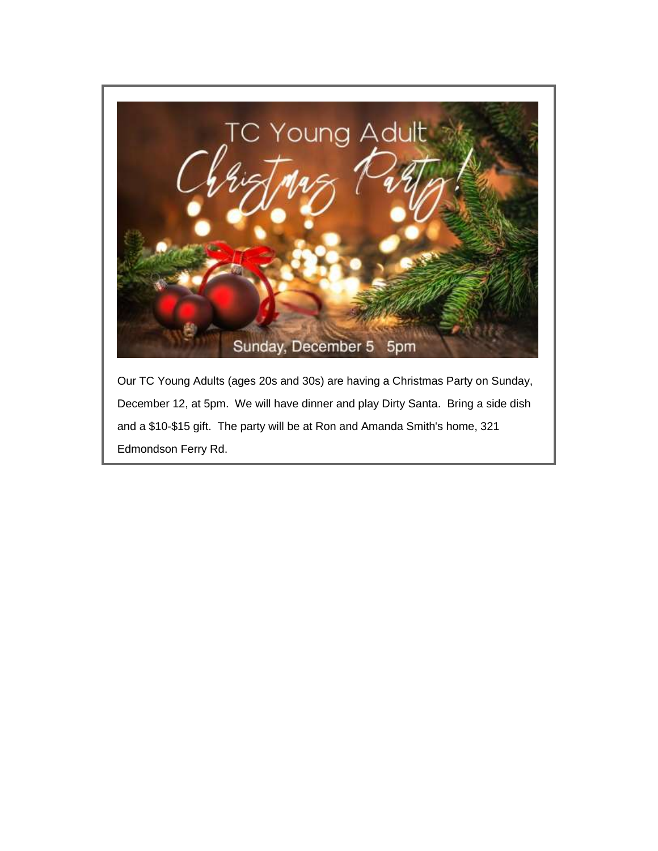

Our TC Young Adults (ages 20s and 30s) are having a Christmas Party on Sunday, December 12, at 5pm. We will have dinner and play Dirty Santa. Bring a side dish and a \$10-\$15 gift. The party will be at Ron and Amanda Smith's home, 321 Edmondson Ferry Rd.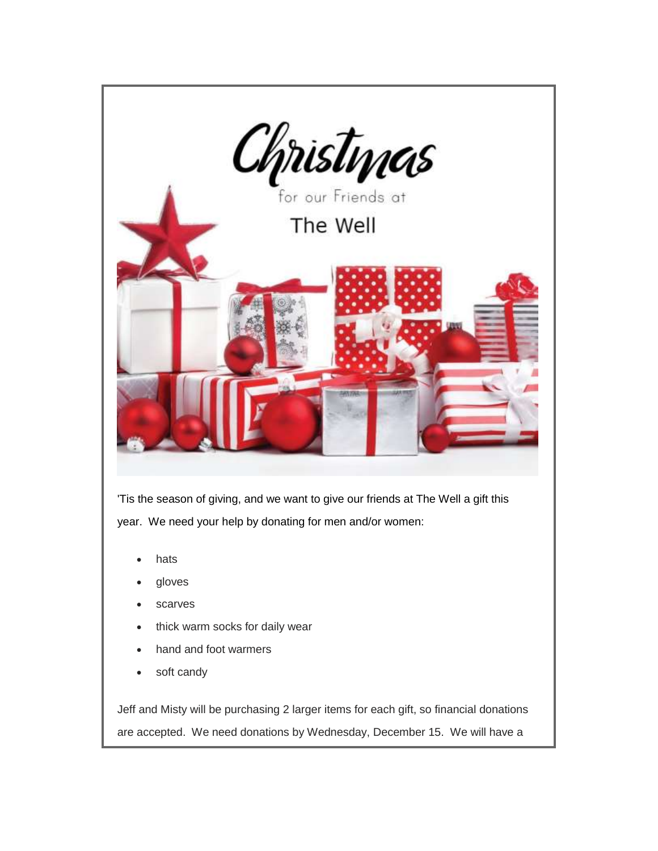

Jeff and Misty will be purchasing 2 larger items for each gift, so financial donations are accepted. We need donations by Wednesday, December 15. We will have a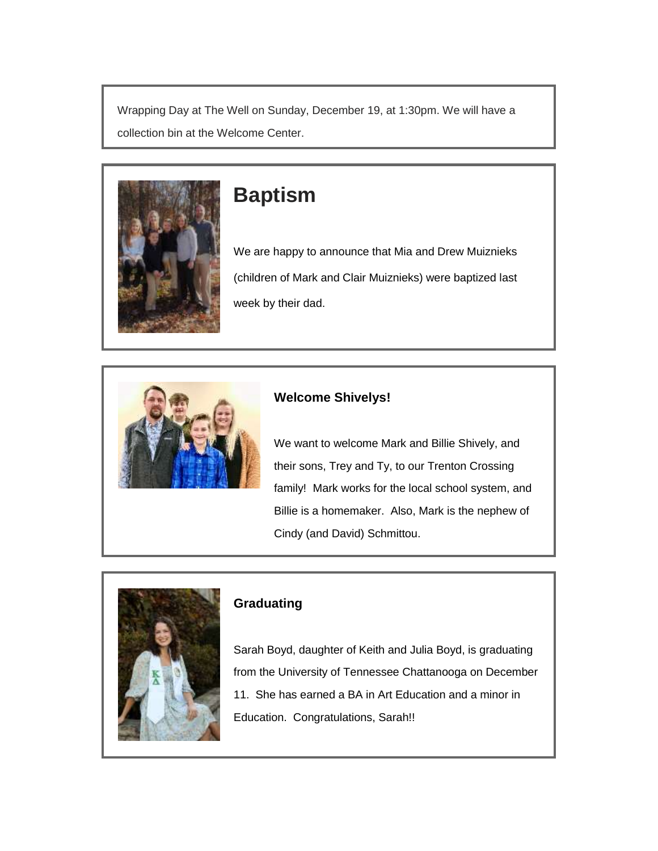Wrapping Day at The Well on Sunday, December 19, at 1:30pm. We will have a collection bin at the Welcome Center.



# **Baptism**

We are happy to announce that Mia and Drew Muiznieks (children of Mark and Clair Muiznieks) were baptized last week by their dad.



#### **Welcome Shivelys!**

We want to welcome Mark and Billie Shively, and their sons, Trey and Ty, to our Trenton Crossing family! Mark works for the local school system, and Billie is a homemaker. Also, Mark is the nephew of Cindy (and David) Schmittou.



#### **Graduating**

Sarah Boyd, daughter of Keith and Julia Boyd, is graduating from the University of Tennessee Chattanooga on December 11. She has earned a BA in Art Education and a minor in Education. Congratulations, Sarah!!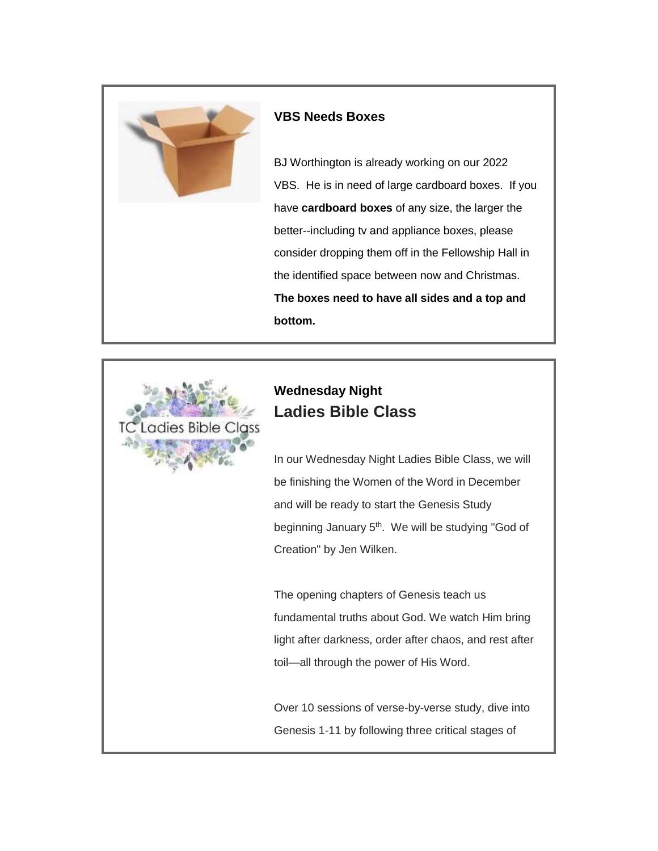

#### **VBS Needs Boxes**

BJ Worthington is already working on our 2022 VBS. He is in need of large cardboard boxes. If you have **cardboard boxes** of any size, the larger the better--including tv and appliance boxes, please consider dropping them off in the Fellowship Hall in the identified space between now and Christmas. **The boxes need to have all sides and a top and bottom.**



### **Wednesday Night Ladies Bible Class**

In our Wednesday Night Ladies Bible Class, we will be finishing the Women of the Word in December and will be ready to start the Genesis Study beginning January 5<sup>th</sup>. We will be studying "God of Creation" by Jen Wilken.

The opening chapters of Genesis teach us fundamental truths about God. We watch Him bring light after darkness, order after chaos, and rest after toil—all through the power of His Word.

Over 10 sessions of verse-by-verse study, dive into Genesis 1-11 by following three critical stages of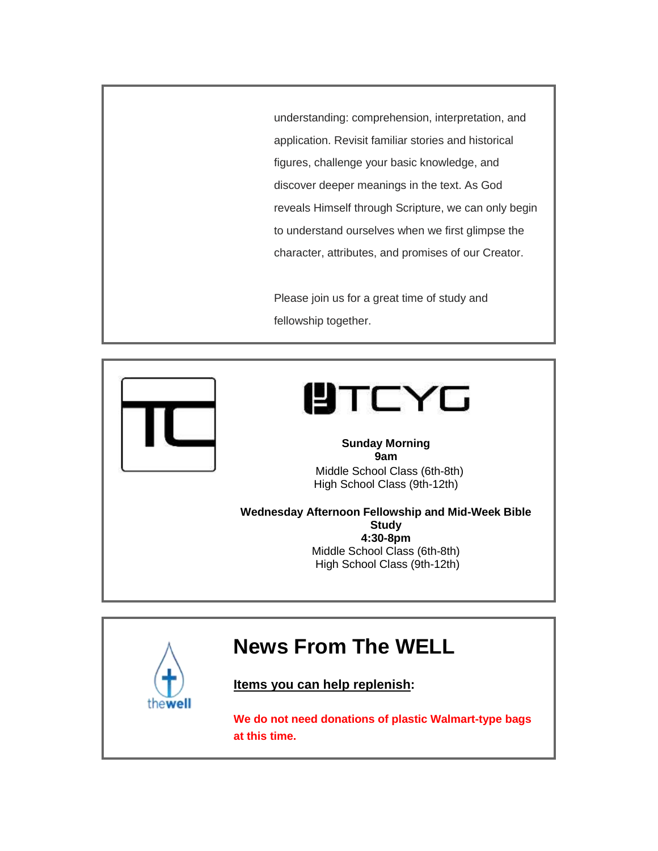understanding: comprehension, interpretation, and application. Revisit familiar stories and historical figures, challenge your basic knowledge, and discover deeper meanings in the text. As God reveals Himself through Scripture, we can only begin to understand ourselves when we first glimpse the character, attributes, and promises of our Creator.

Please join us for a great time of study and fellowship together.



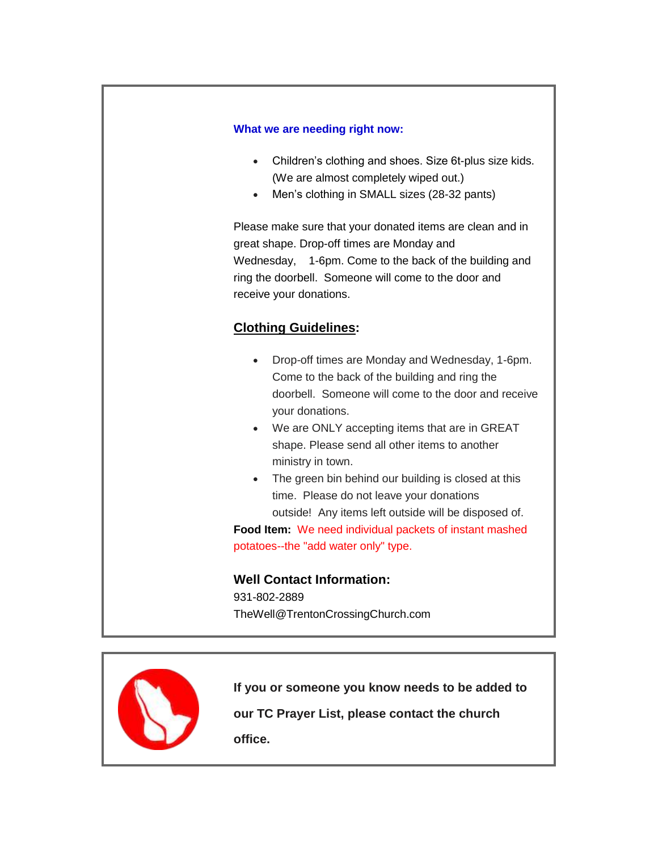#### **What we are needing right now:**

- Children's clothing and shoes. Size 6t-plus size kids. (We are almost completely wiped out.)
- Men's clothing in SMALL sizes (28-32 pants)

Please make sure that your donated items are clean and in great shape. Drop-off times are Monday and Wednesday, 1-6pm. Come to the back of the building and ring the doorbell. Someone will come to the door and receive your donations.

#### **Clothing Guidelines:**

- Drop-off times are Monday and Wednesday, 1-6pm. Come to the back of the building and ring the doorbell. Someone will come to the door and receive your donations.
- We are ONLY accepting items that are in GREAT shape. Please send all other items to another ministry in town.
- The green bin behind our building is closed at this time. Please do not leave your donations outside! Any items left outside will be disposed of.

**Food Item:** We need individual packets of instant mashed potatoes--the "add water only" type.

#### **Well Contact Information:**

931-802-2889 TheWell@TrentonCrossingChurch.com



**If you or someone you know needs to be added to our TC Prayer List, please contact the church office.**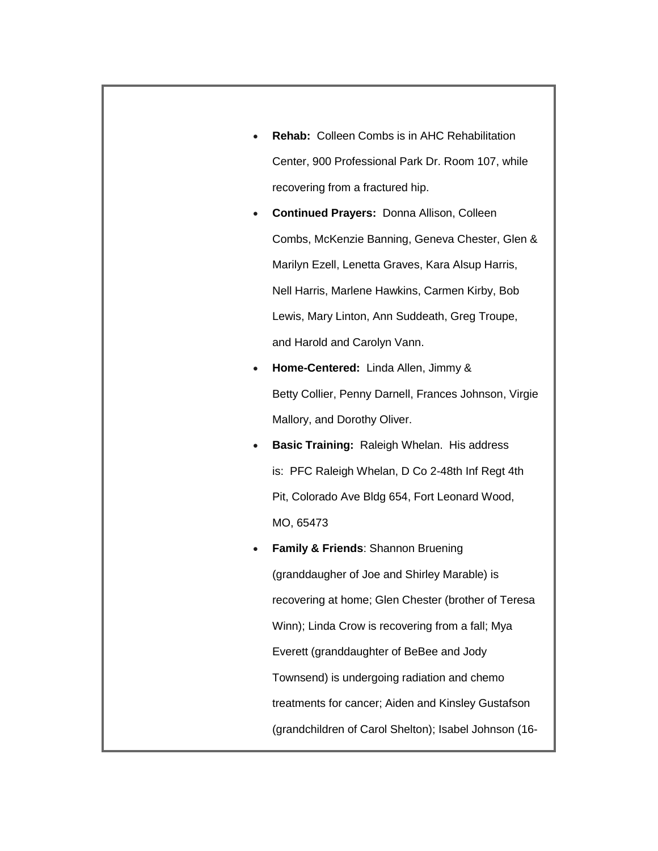- **Rehab:** Colleen Combs is in AHC Rehabilitation Center, 900 Professional Park Dr. Room 107, while recovering from a fractured hip.
- **Continued Prayers:** Donna Allison, Colleen Combs, McKenzie Banning, Geneva Chester, Glen & Marilyn Ezell, Lenetta Graves, Kara Alsup Harris, Nell Harris, Marlene Hawkins, Carmen Kirby, Bob Lewis, Mary Linton, Ann Suddeath, Greg Troupe, and Harold and Carolyn Vann.
- **Home-Centered:** Linda Allen, Jimmy & Betty Collier, Penny Darnell, Frances Johnson, Virgie Mallory, and Dorothy Oliver.
- **Basic Training:** Raleigh Whelan. His address is: PFC Raleigh Whelan, D Co 2-48th Inf Regt 4th Pit, Colorado Ave Bldg 654, Fort Leonard Wood, MO, 65473
- **Family & Friends**: Shannon Bruening (granddaugher of Joe and Shirley Marable) is recovering at home; Glen Chester (brother of Teresa Winn); Linda Crow is recovering from a fall; Mya Everett (granddaughter of BeBee and Jody Townsend) is undergoing radiation and chemo treatments for cancer; Aiden and Kinsley Gustafson (grandchildren of Carol Shelton); Isabel Johnson (16-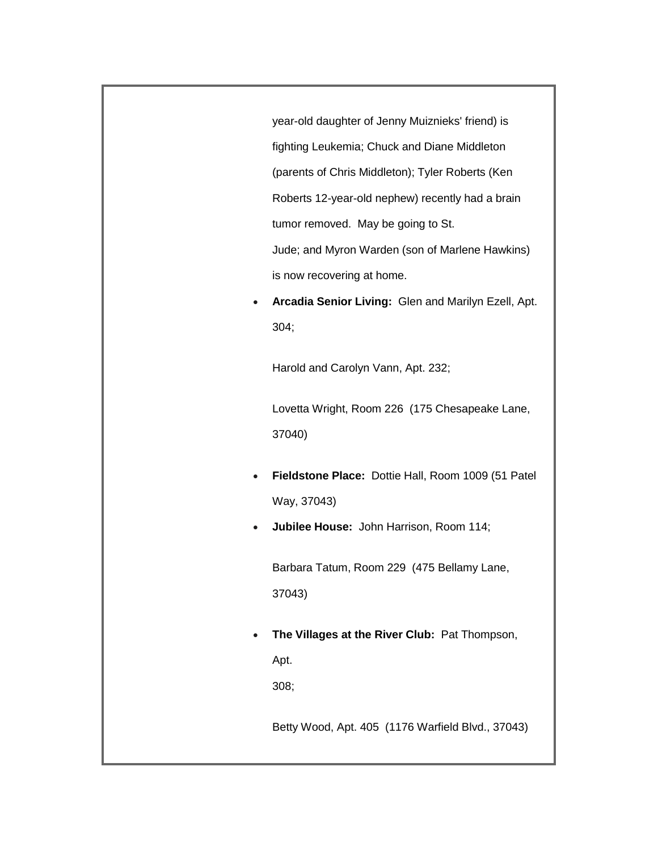year-old daughter of Jenny Muiznieks' friend) is fighting Leukemia; Chuck and Diane Middleton (parents of Chris Middleton); Tyler Roberts (Ken Roberts 12-year-old nephew) recently had a brain tumor removed. May be going to St. Jude; and Myron Warden (son of Marlene Hawkins) is now recovering at home.

 **Arcadia Senior Living:** Glen and Marilyn Ezell, Apt. 304;

Harold and Carolyn Vann, Apt. 232;

Lovetta Wright, Room 226 (175 Chesapeake Lane, 37040)

- **Fieldstone Place:** Dottie Hall, Room 1009 (51 Patel Way, 37043)
- **Jubilee House:** John Harrison, Room 114;

Barbara Tatum, Room 229 (475 Bellamy Lane, 37043)

 **The Villages at the River Club:** Pat Thompson, Apt. 308;

Betty Wood, Apt. 405 (1176 Warfield Blvd., 37043)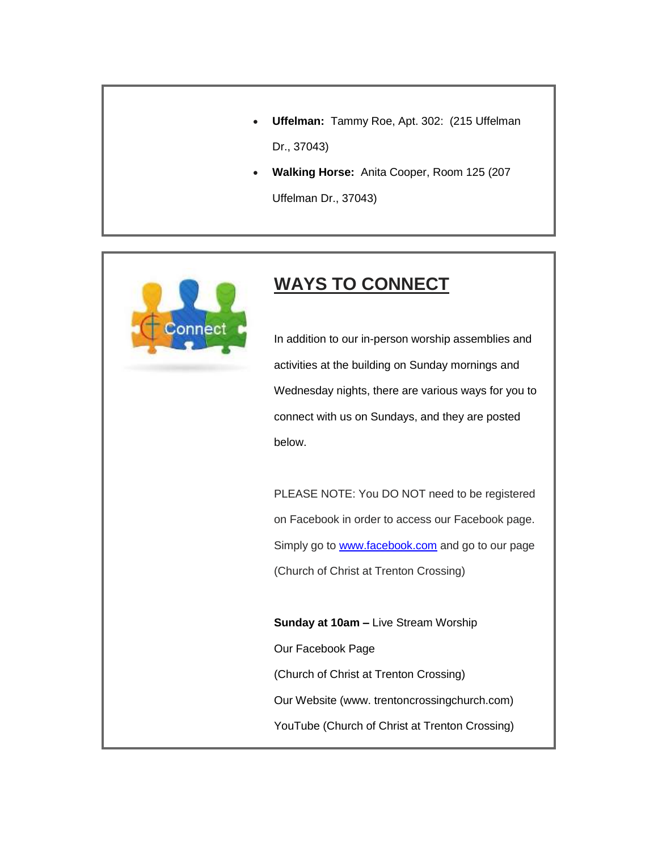- **Uffelman:** Tammy Roe, Apt. 302: (215 Uffelman Dr., 37043)
- **Walking Horse:** Anita Cooper, Room 125 (207

Uffelman Dr., 37043)



## **WAYS TO CONNECT**

In addition to our in-person worship assemblies and activities at the building on Sunday mornings and Wednesday nights, there are various ways for you to connect with us on Sundays, and they are posted below.

PLEASE NOTE: You DO NOT need to be registered on Facebook in order to access our Facebook page. Simply go to [www.facebook.com](http://www.facebook.com/) and go to our page (Church of Christ at Trenton Crossing)

**Sunday at 10am –** Live Stream Worship Our Facebook Page (Church of Christ at Trenton Crossing) Our Website (www. trentoncrossingchurch.com) YouTube (Church of Christ at Trenton Crossing)